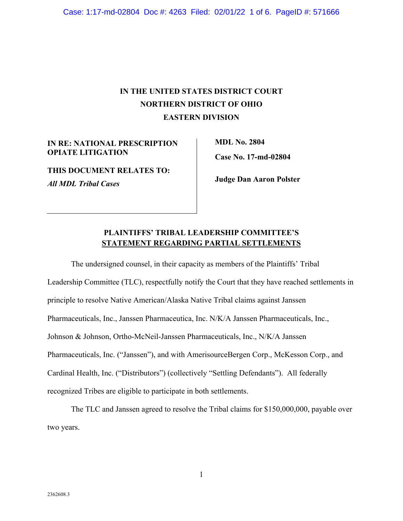Case: 1:17-md-02804 Doc #: 4263 Filed: 02/01/22 1 of 6. PageID #: 571666

# **IN THE UNITED STATES DISTRICT COURT NORTHERN DISTRICT OF OHIO EASTERN DIVISION**

**IN RE: NATIONAL PRESCRIPTION OPIATE LITIGATION** 

**THIS DOCUMENT RELATES TO:**  *All MDL Tribal Cases* 

**MDL No. 2804 Case No. 17-md-02804** 

**Judge Dan Aaron Polster** 

## **PLAINTIFFS' TRIBAL LEADERSHIP COMMITTEE'S STATEMENT REGARDING PARTIAL SETTLEMENTS**

The undersigned counsel, in their capacity as members of the Plaintiffs' Tribal Leadership Committee (TLC), respectfully notify the Court that they have reached settlements in principle to resolve Native American/Alaska Native Tribal claims against Janssen Pharmaceuticals, Inc., Janssen Pharmaceutica, Inc. N/K/A Janssen Pharmaceuticals, Inc., Johnson & Johnson, Ortho-McNeil-Janssen Pharmaceuticals, Inc., N/K/A Janssen Pharmaceuticals, Inc. ("Janssen"), and with AmerisourceBergen Corp., McKesson Corp., and Cardinal Health, Inc. ("Distributors") (collectively "Settling Defendants"). All federally recognized Tribes are eligible to participate in both settlements.

The TLC and Janssen agreed to resolve the Tribal claims for \$150,000,000, payable over two years.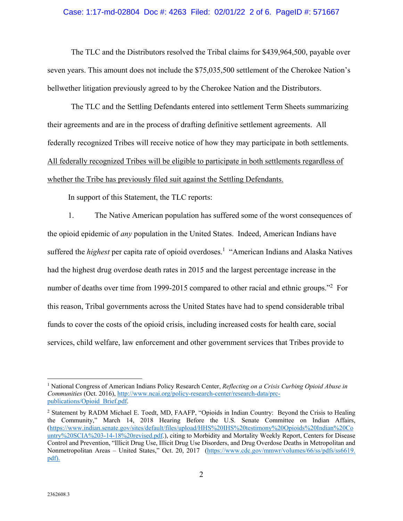#### Case: 1:17-md-02804 Doc #: 4263 Filed: 02/01/22 2 of 6. PageID #: 571667

The TLC and the Distributors resolved the Tribal claims for \$439,964,500, payable over seven years. This amount does not include the \$75,035,500 settlement of the Cherokee Nation's bellwether litigation previously agreed to by the Cherokee Nation and the Distributors.

The TLC and the Settling Defendants entered into settlement Term Sheets summarizing their agreements and are in the process of drafting definitive settlement agreements. All federally recognized Tribes will receive notice of how they may participate in both settlements. All federally recognized Tribes will be eligible to participate in both settlements regardless of whether the Tribe has previously filed suit against the Settling Defendants.

In support of this Statement, the TLC reports:

1. The Native American population has suffered some of the worst consequences of the opioid epidemic of *any* population in the United States. Indeed, American Indians have suffered the *highest* per capita rate of opioid overdoses.<sup>1</sup> "American Indians and Alaska Natives had the highest drug overdose death rates in 2015 and the largest percentage increase in the number of deaths over time from 1999-2015 compared to other racial and ethnic groups."<sup>2</sup> For this reason, Tribal governments across the United States have had to spend considerable tribal funds to cover the costs of the opioid crisis, including increased costs for health care, social services, child welfare, law enforcement and other government services that Tribes provide to

 $\overline{a}$ 

<sup>&</sup>lt;sup>1</sup> National Congress of American Indians Policy Research Center, *Reflecting on a Crisis Curbing Opioid Abuse in Communities* (Oct. 2016), http://www.ncai.org/policy-research-center/research-data/prcpublications/Opioid\_Brief.pdf.

<sup>&</sup>lt;sup>2</sup> Statement by RADM Michael E. Toedt, MD, FAAFP, "Opioids in Indian Country: Beyond the Crisis to Healing the Community," March 14, 2018 Hearing Before the U.S. Senate Committee on Indian Affairs, (https://www.indian.senate.gov/sites/default/files/upload/HHS%20IHS%20testimony%20Opioids%20Indian%20Co untry%20SCIA%203-14-18%20revised.pdf.), citing to Morbidity and Mortality Weekly Report, Centers for Disease Control and Prevention, "Illicit Drug Use, Illicit Drug Use Disorders, and Drug Overdose Deaths in Metropolitan and Nonmetropolitan Areas – United States," Oct. 20, 2017 (https://www.cdc.gov/mmwr/volumes/66/ss/pdfs/ss6619. pdf).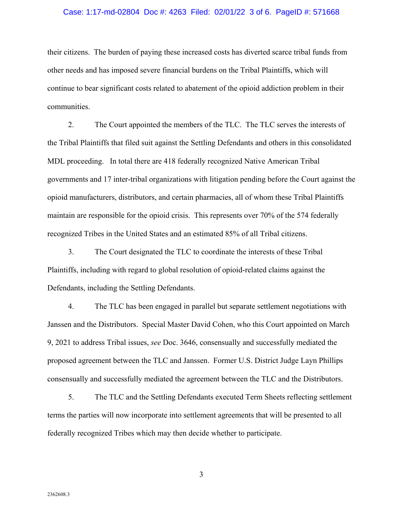#### Case: 1:17-md-02804 Doc #: 4263 Filed: 02/01/22 3 of 6. PageID #: 571668

their citizens. The burden of paying these increased costs has diverted scarce tribal funds from other needs and has imposed severe financial burdens on the Tribal Plaintiffs, which will continue to bear significant costs related to abatement of the opioid addiction problem in their communities.

2. The Court appointed the members of the TLC. The TLC serves the interests of the Tribal Plaintiffs that filed suit against the Settling Defendants and others in this consolidated MDL proceeding. In total there are 418 federally recognized Native American Tribal governments and 17 inter-tribal organizations with litigation pending before the Court against the opioid manufacturers, distributors, and certain pharmacies, all of whom these Tribal Plaintiffs maintain are responsible for the opioid crisis. This represents over 70% of the 574 federally recognized Tribes in the United States and an estimated 85% of all Tribal citizens.

3. The Court designated the TLC to coordinate the interests of these Tribal Plaintiffs, including with regard to global resolution of opioid-related claims against the Defendants, including the Settling Defendants.

4. The TLC has been engaged in parallel but separate settlement negotiations with Janssen and the Distributors. Special Master David Cohen, who this Court appointed on March 9, 2021 to address Tribal issues, *see* Doc. 3646, consensually and successfully mediated the proposed agreement between the TLC and Janssen. Former U.S. District Judge Layn Phillips consensually and successfully mediated the agreement between the TLC and the Distributors.

5. The TLC and the Settling Defendants executed Term Sheets reflecting settlement terms the parties will now incorporate into settlement agreements that will be presented to all federally recognized Tribes which may then decide whether to participate.

3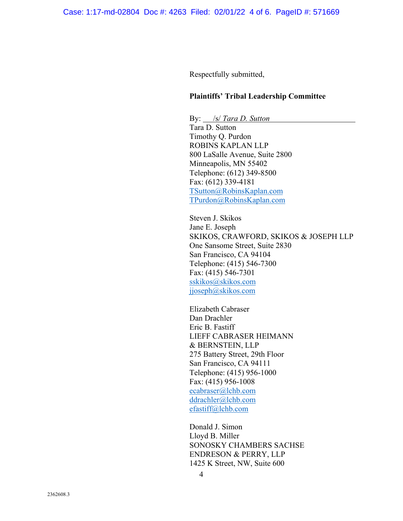Respectfully submitted,

### **Plaintiffs' Tribal Leadership Committee**

By: /s/ *Tara D. Sutton* Tara D. Sutton Timothy Q. Purdon ROBINS KAPLAN LLP 800 LaSalle Avenue, Suite 2800 Minneapolis, MN 55402 Telephone: (612) 349-8500 Fax: (612) 339-4181 TSutton@RobinsKaplan.com TPurdon@RobinsKaplan.com

Steven J. Skikos Jane E. Joseph SKIKOS, CRAWFORD, SKIKOS & JOSEPH LLP One Sansome Street, Suite 2830 San Francisco, CA 94104 Telephone: (415) 546-7300 Fax: (415) 546-7301 sskikos@skikos.com jjoseph@skikos.com

Elizabeth Cabraser Dan Drachler Eric B. Fastiff LIEFF CABRASER HEIMANN & BERNSTEIN, LLP 275 Battery Street, 29th Floor San Francisco, CA 94111 Telephone: (415) 956-1000 Fax: (415) 956-1008 ecabraser@lchb.com ddrachler@lchb.com efastiff@lchb.com

Donald J. Simon Lloyd B. Miller SONOSKY CHAMBERS SACHSE ENDRESON & PERRY, LLP 1425 K Street, NW, Suite 600

4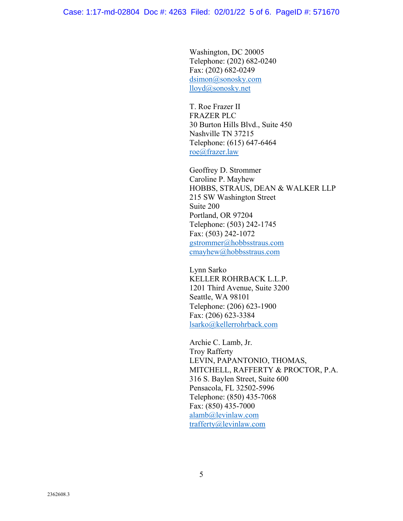Washington, DC 20005 Telephone: (202) 682-0240 Fax: (202) 682-0249 dsimon@sonosky.com lloyd@sonosky.net

T. Roe Frazer II FRAZER PLC 30 Burton Hills Blvd., Suite 450 Nashville TN 37215 Telephone: (615) 647-6464 roe@frazer.law

Geoffrey D. Strommer Caroline P. Mayhew HOBBS, STRAUS, DEAN & WALKER LLP 215 SW Washington Street Suite 200 Portland, OR 97204 Telephone: (503) 242-1745 Fax: (503) 242-1072 gstrommer@hobbsstraus.com cmayhew@hobbsstraus.com

Lynn Sarko KELLER ROHRBACK L.L.P. 1201 Third Avenue, Suite 3200 Seattle, WA 98101 Telephone: (206) 623-1900 Fax: (206) 623-3384 lsarko@kellerrohrback.com

Archie C. Lamb, Jr. Troy Rafferty LEVIN, PAPANTONIO, THOMAS, MITCHELL, RAFFERTY & PROCTOR, P.A. 316 S. Baylen Street, Suite 600 Pensacola, FL 32502-5996 Telephone: (850) 435-7068 Fax: (850) 435-7000 alamb@levinlaw.com trafferty@levinlaw.com